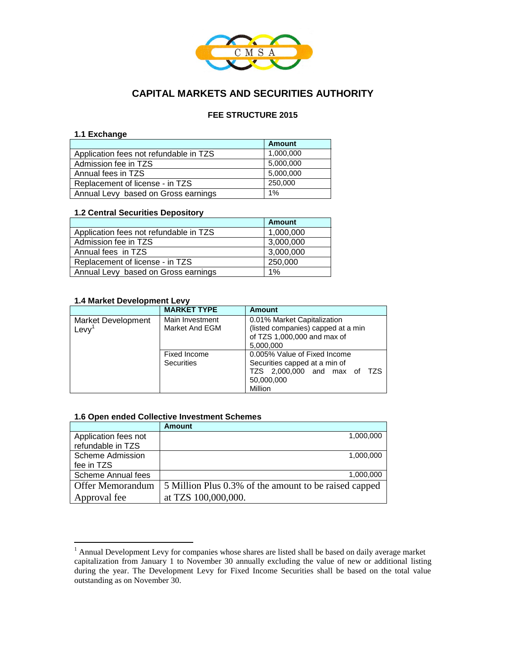

# **CAPITAL MARKETS AND SECURITIES AUTHORITY**

### **FEE STRUCTURE 2015**

#### **1.1 Exchange**

|                                        | <b>Amount</b> |
|----------------------------------------|---------------|
| Application fees not refundable in TZS | 1,000,000     |
| Admission fee in TZS                   | 5,000,000     |
| Annual fees in TZS                     | 5,000,000     |
| Replacement of license - in TZS        | 250,000       |
| Annual Levy based on Gross earnings    | 1%            |

#### **1.2 Central Securities Depository**

|                                        | <b>Amount</b> |
|----------------------------------------|---------------|
| Application fees not refundable in TZS | 1,000,000     |
| Admission fee in TZS                   | 3,000,000     |
| Annual fees in TZS                     | 3,000,000     |
| Replacement of license - in TZS        | 250,000       |
| Annual Levy based on Gross earnings    | 1%            |

### **1.4 Market Development Levy**

 $\overline{a}$ 

|                                   | <b>MARKET TYPE</b>                | Amount                                                                                                                 |
|-----------------------------------|-----------------------------------|------------------------------------------------------------------------------------------------------------------------|
| <b>Market Development</b><br>Levy | Main Investment<br>Market And EGM | 0.01% Market Capitalization<br>(listed companies) capped at a min<br>of TZS 1,000,000 and max of<br>5,000,000          |
|                                   | Fixed Income<br><b>Securities</b> | 0.005% Value of Fixed Income<br>Securities capped at a min of<br>TZS 2,000,000 and max of TZS<br>50,000,000<br>Million |

#### **1.6 Open ended Collective Investment Schemes**

|                         | <b>Amount</b>                                         |
|-------------------------|-------------------------------------------------------|
| Application fees not    | 1,000,000                                             |
| refundable in TZS       |                                                       |
| <b>Scheme Admission</b> | 1,000,000                                             |
| fee in TZS              |                                                       |
| Scheme Annual fees      | 1,000,000                                             |
| Offer Memorandum        | 5 Million Plus 0.3% of the amount to be raised capped |
| Approval fee            | at TZS 100,000,000.                                   |

 $<sup>1</sup>$  Annual Development Levy for companies whose shares are listed shall be based on daily average market</sup> capitalization from January 1 to November 30 annually excluding the value of new or additional listing during the year. The Development Levy for Fixed Income Securities shall be based on the total value outstanding as on November 30.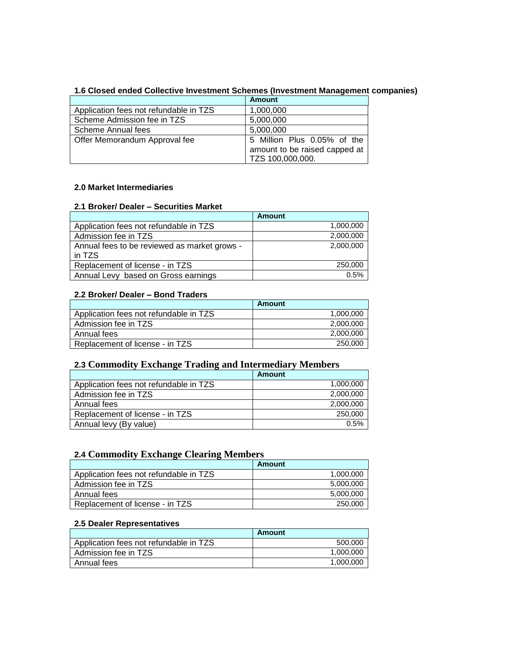|                                        | <b>Amount</b>                                                |
|----------------------------------------|--------------------------------------------------------------|
| Application fees not refundable in TZS | 1,000,000                                                    |
| Scheme Admission fee in TZS            | 5,000,000                                                    |
| Scheme Annual fees                     | 5,000,000                                                    |
| Offer Memorandum Approval fee          | 5 Million Plus 0.05% of the<br>amount to be raised capped at |
|                                        | TZS 100,000,000.                                             |

#### **1.6 Closed ended Collective Investment Schemes (Investment Management companies)**

# **2.0 Market Intermediaries**

# **2.1 Broker/ Dealer – Securities Market**

|                                                        | <b>Amount</b> |
|--------------------------------------------------------|---------------|
| Application fees not refundable in TZS                 | 1,000,000     |
| Admission fee in TZS                                   | 2,000,000     |
| Annual fees to be reviewed as market grows -<br>in TZS | 2,000,000     |
| Replacement of license - in TZS                        | 250,000       |
| Annual Levy based on Gross earnings                    | 0.5%          |

#### **2.2 Broker/ Dealer – Bond Traders**

|                                        | Amount    |
|----------------------------------------|-----------|
| Application fees not refundable in TZS | 1.000.000 |
| Admission fee in TZS                   | 2,000,000 |
| Annual fees                            | 2,000,000 |
| Replacement of license - in TZS        | 250,000   |

# **2.3 Commodity Exchange Trading and Intermediary Members**

|                                        | Amount    |
|----------------------------------------|-----------|
| Application fees not refundable in TZS | 1.000.000 |
| Admission fee in TZS                   | 2,000,000 |
| Annual fees                            | 2,000,000 |
| Replacement of license - in TZS        | 250,000   |
| Annual levy (By value)                 | 0.5%      |

### **2.4 Commodity Exchange Clearing Members**

|                                        | Amount    |
|----------------------------------------|-----------|
| Application fees not refundable in TZS | 1.000.000 |
| Admission fee in TZS                   | 5,000,000 |
| Annual fees                            | 5,000,000 |
| Replacement of license - in TZS        | 250,000   |

# **2.5 Dealer Representatives**

|                                        | Amount    |
|----------------------------------------|-----------|
| Application fees not refundable in TZS | 500,000   |
| Admission fee in TZS                   | 1.000.000 |
| Annual fees                            | 1,000,000 |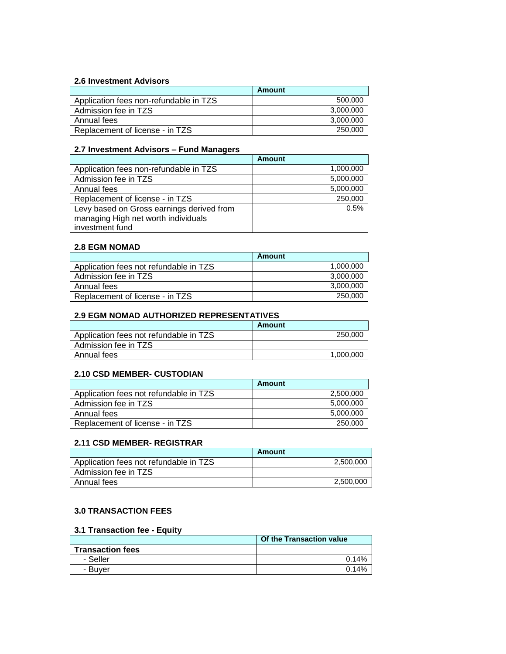#### **2.6 Investment Advisors**

|                                        | Amount    |
|----------------------------------------|-----------|
| Application fees non-refundable in TZS | 500,000   |
| Admission fee in TZS                   | 3,000,000 |
| Annual fees                            | 3,000,000 |
| Replacement of license - in TZS        | 250,000   |

#### **2.7 Investment Advisors – Fund Managers**

|                                                                                  | <b>Amount</b> |
|----------------------------------------------------------------------------------|---------------|
| Application fees non-refundable in TZS                                           | 1,000,000     |
| Admission fee in TZS                                                             | 5,000,000     |
| Annual fees                                                                      | 5,000,000     |
| Replacement of license - in TZS                                                  | 250,000       |
| Levy based on Gross earnings derived from<br>managing High net worth individuals | 0.5%          |
| investment fund                                                                  |               |
|                                                                                  |               |

#### **2.8 EGM NOMAD**

|                                        | Amount    |
|----------------------------------------|-----------|
| Application fees not refundable in TZS | 1,000,000 |
| Admission fee in TZS                   | 3,000,000 |
| Annual fees                            | 3,000,000 |
| Replacement of license - in TZS        | 250,000   |

# **2.9 EGM NOMAD AUTHORIZED REPRESENTATIVES**

|                                        | <b>Amount</b> |
|----------------------------------------|---------------|
| Application fees not refundable in TZS | 250,000       |
| Admission fee in TZS                   |               |
| Annual fees                            | 1,000,000     |

### **2.10 CSD MEMBER- CUSTODIAN**

|                                        | Amount    |
|----------------------------------------|-----------|
| Application fees not refundable in TZS | 2,500,000 |
| Admission fee in TZS                   | 5,000,000 |
| Annual fees                            | 5,000,000 |
| Replacement of license - in TZS        | 250,000   |

#### **2.11 CSD MEMBER- REGISTRAR**

|                                        | Amount    |
|----------------------------------------|-----------|
| Application fees not refundable in TZS | 2,500,000 |
| Admission fee in TZS                   |           |
| Annual fees                            | 2,500,000 |

#### **3.0 TRANSACTION FEES**

# **3.1 Transaction fee - Equity**

|                         | Of the Transaction value |
|-------------------------|--------------------------|
| <b>Transaction fees</b> |                          |
| - Seller                | 0.14%                    |
| - Buver                 | 0.14%                    |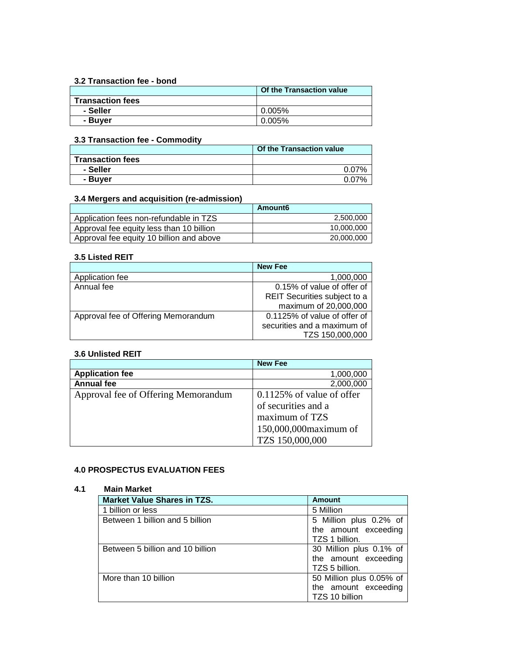#### **3.2 Transaction fee - bond**

|                         | Of the Transaction value |
|-------------------------|--------------------------|
| <b>Transaction fees</b> |                          |
| - Seller                | 0.005%                   |
| - Buver                 | 0.005%                   |

### **3.3 Transaction fee - Commodity**

|                         | <b>Of the Transaction value</b> |
|-------------------------|---------------------------------|
| <b>Transaction fees</b> |                                 |
| - Seller                | $0.07\%$                        |
| - Buver                 | 0.07%                           |

### **3.4 Mergers and acquisition (re-admission)**

|                                          | Amount6    |
|------------------------------------------|------------|
| Application fees non-refundable in TZS   | 2,500,000  |
| Approval fee equity less than 10 billion | 10,000,000 |
| Approval fee equity 10 billion and above | 20,000,000 |

#### **3.5 Listed REIT**

|                                     | <b>New Fee</b>               |
|-------------------------------------|------------------------------|
| Application fee                     | 1,000,000                    |
| Annual fee                          | 0.15% of value of offer of   |
|                                     | REIT Securities subject to a |
|                                     | maximum of 20,000,000        |
| Approval fee of Offering Memorandum | 0.1125% of value of offer of |
|                                     | securities and a maximum of  |
|                                     | TZS 150,000,000              |

### **3.6 Unlisted REIT**

|                                     | <b>New Fee</b>               |
|-------------------------------------|------------------------------|
| <b>Application fee</b>              | 1,000,000                    |
| <b>Annual fee</b>                   | 2,000,000                    |
| Approval fee of Offering Memorandum | $0.1125\%$ of value of offer |
|                                     | of securities and a          |
|                                     | maximum of TZS               |
|                                     | 150,000,000 maximum of       |
|                                     | TZS 150,000,000              |

### **4.0 PROSPECTUS EVALUATION FEES**

### **4.1 Main Market**

| <b>Market Value Shares in TZS.</b> | <b>Amount</b>            |
|------------------------------------|--------------------------|
| 1 billion or less                  | 5 Million                |
| Between 1 billion and 5 billion    | 5 Million plus 0.2% of   |
|                                    | the amount exceeding     |
|                                    | TZS 1 billion.           |
| Between 5 billion and 10 billion   | 30 Million plus 0.1% of  |
|                                    | the amount exceeding     |
|                                    | TZS 5 billion.           |
| More than 10 billion               | 50 Million plus 0.05% of |
|                                    | the amount exceeding     |
|                                    | TZS 10 billion           |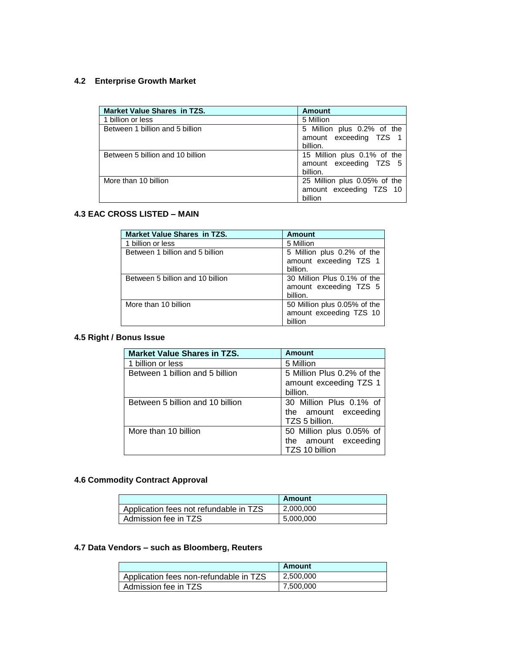#### **4.2 Enterprise Growth Market**

| <b>Market Value Shares in TZS.</b> | Amount                                                             |
|------------------------------------|--------------------------------------------------------------------|
| 1 billion or less                  | 5 Million                                                          |
| Between 1 billion and 5 billion    | 5 Million plus 0.2% of the<br>amount exceeding TZS 1<br>billion.   |
| Between 5 billion and 10 billion   | 15 Million plus 0.1% of the<br>amount exceeding TZS 5<br>billion.  |
| More than 10 billion               | 25 Million plus 0.05% of the<br>amount exceeding TZS 10<br>billion |

### **4.3 EAC CROSS LISTED – MAIN**

| <b>Market Value Shares in TZS.</b> | <b>Amount</b>                                                      |
|------------------------------------|--------------------------------------------------------------------|
| 1 billion or less                  | 5 Million                                                          |
| Between 1 billion and 5 billion    | 5 Million plus 0.2% of the<br>amount exceeding TZS 1<br>billion.   |
| Between 5 billion and 10 billion   | 30 Million Plus 0.1% of the<br>amount exceeding TZS 5<br>billion.  |
| More than 10 billion               | 50 Million plus 0.05% of the<br>amount exceeding TZS 10<br>billion |

# **4.5 Right / Bonus Issue**

| <b>Market Value Shares in TZS.</b> | <b>Amount</b>              |
|------------------------------------|----------------------------|
| 1 billion or less                  | 5 Million                  |
| Between 1 billion and 5 billion    | 5 Million Plus 0.2% of the |
|                                    | amount exceeding TZS 1     |
|                                    | billion.                   |
| Between 5 billion and 10 billion   | 30 Million Plus 0.1% of    |
|                                    | the amount exceeding       |
|                                    | TZS 5 billion.             |
| More than 10 billion               | 50 Million plus 0.05% of   |
|                                    | the amount exceeding       |
|                                    | TZS 10 billion             |

# **4.6 Commodity Contract Approval**

|                                        | Amount    |
|----------------------------------------|-----------|
| Application fees not refundable in TZS | 2,000,000 |
| Admission fee in TZS                   | 5,000,000 |

# **4.7 Data Vendors – such as Bloomberg, Reuters**

|                                        | Amount    |
|----------------------------------------|-----------|
| Application fees non-refundable in TZS | 2.500.000 |
| Admission fee in TZS                   | 7,500,000 |